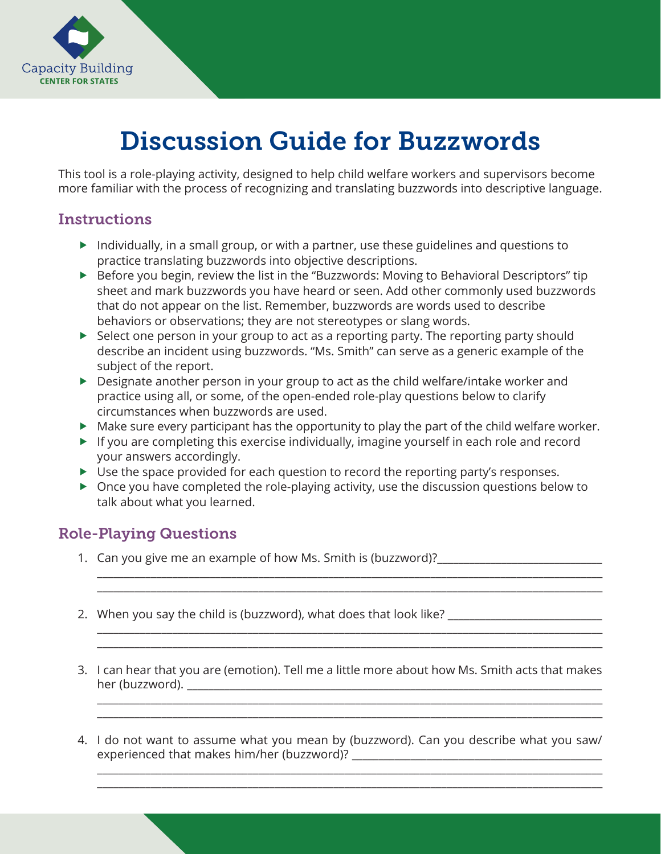

## Discussion Guide for Buzzwords

This tool is a role-playing activity, designed to help child welfare workers and supervisors become more familiar with the process of recognizing and translating buzzwords into descriptive language.

## **Instructions**

- $\blacktriangleright$  Individually, in a small group, or with a partner, use these guidelines and questions to practice translating buzzwords into objective descriptions.
- ▶ Before you begin, review the list in the "Buzzwords: Moving to Behavioral Descriptors" tip sheet and mark buzzwords you have heard or seen. Add other commonly used buzzwords that do not appear on the list. Remember, buzzwords are words used to describe behaviors or observations; they are not stereotypes or slang words.
- $\triangleright$  Select one person in your group to act as a reporting party. The reporting party should describe an incident using buzzwords. "Ms. Smith" can serve as a generic example of the subject of the report.
- ▶ Designate another person in your group to act as the child welfare/intake worker and practice using all, or some, of the open-ended role-play questions below to clarify circumstances when buzzwords are used.
- Make sure every participant has the opportunity to play the part of the child welfare worker.
- If you are completing this exercise individually, imagine yourself in each role and record your answers accordingly.
- ▶ Use the space provided for each question to record the reporting party's responses.
- ▶ Once you have completed the role-playing activity, use the discussion questions below to talk about what you learned.

## Role-Playing Questions

- 1. Can you give me an example of how Ms. Smith is (buzzword)?
- 2. When you say the child is (buzzword), what does that look like? \_\_\_\_\_\_\_\_\_\_\_\_\_\_
- 3. I can hear that you are (emotion). Tell me a little more about how Ms. Smith acts that makes her (buzzword). \_\_\_\_\_\_\_\_\_\_\_\_\_\_\_\_\_\_\_\_\_\_\_\_\_\_\_\_\_\_\_\_\_\_\_\_\_\_\_\_\_\_\_\_\_\_\_\_\_\_\_\_\_\_\_\_\_\_\_\_\_\_\_\_\_\_\_\_\_\_\_\_\_\_\_\_\_\_

\_\_\_\_\_\_\_\_\_\_\_\_\_\_\_\_\_\_\_\_\_\_\_\_\_\_\_\_\_\_\_\_\_\_\_\_\_\_\_\_\_\_\_\_\_\_\_\_\_\_\_\_\_\_\_\_\_\_\_\_\_\_\_\_\_\_\_\_\_\_\_\_\_\_\_\_\_\_\_\_\_\_\_\_\_\_\_\_\_\_\_\_\_\_ \_\_\_\_\_\_\_\_\_\_\_\_\_\_\_\_\_\_\_\_\_\_\_\_\_\_\_\_\_\_\_\_\_\_\_\_\_\_\_\_\_\_\_\_\_\_\_\_\_\_\_\_\_\_\_\_\_\_\_\_\_\_\_\_\_\_\_\_\_\_\_\_\_\_\_\_\_\_\_\_\_\_\_\_\_\_\_\_\_\_\_\_\_\_

\_\_\_\_\_\_\_\_\_\_\_\_\_\_\_\_\_\_\_\_\_\_\_\_\_\_\_\_\_\_\_\_\_\_\_\_\_\_\_\_\_\_\_\_\_\_\_\_\_\_\_\_\_\_\_\_\_\_\_\_\_\_\_\_\_\_\_\_\_\_\_\_\_\_\_\_\_\_\_\_\_\_\_\_\_\_\_\_\_\_\_\_\_\_ \_\_\_\_\_\_\_\_\_\_\_\_\_\_\_\_\_\_\_\_\_\_\_\_\_\_\_\_\_\_\_\_\_\_\_\_\_\_\_\_\_\_\_\_\_\_\_\_\_\_\_\_\_\_\_\_\_\_\_\_\_\_\_\_\_\_\_\_\_\_\_\_\_\_\_\_\_\_\_\_\_\_\_\_\_\_\_\_\_\_\_\_\_\_

\_\_\_\_\_\_\_\_\_\_\_\_\_\_\_\_\_\_\_\_\_\_\_\_\_\_\_\_\_\_\_\_\_\_\_\_\_\_\_\_\_\_\_\_\_\_\_\_\_\_\_\_\_\_\_\_\_\_\_\_\_\_\_\_\_\_\_\_\_\_\_\_\_\_\_\_\_\_\_\_\_\_\_\_\_\_\_\_\_\_\_\_\_\_ \_\_\_\_\_\_\_\_\_\_\_\_\_\_\_\_\_\_\_\_\_\_\_\_\_\_\_\_\_\_\_\_\_\_\_\_\_\_\_\_\_\_\_\_\_\_\_\_\_\_\_\_\_\_\_\_\_\_\_\_\_\_\_\_\_\_\_\_\_\_\_\_\_\_\_\_\_\_\_\_\_\_\_\_\_\_\_\_\_\_\_\_\_\_

4. I do not want to assume what you mean by (buzzword). Can you describe what you saw/ experienced that makes him/her (buzzword)?

\_\_\_\_\_\_\_\_\_\_\_\_\_\_\_\_\_\_\_\_\_\_\_\_\_\_\_\_\_\_\_\_\_\_\_\_\_\_\_\_\_\_\_\_\_\_\_\_\_\_\_\_\_\_\_\_\_\_\_\_\_\_\_\_\_\_\_\_\_\_\_\_\_\_\_\_\_\_\_\_\_\_\_\_\_\_\_\_\_\_\_\_\_\_ \_\_\_\_\_\_\_\_\_\_\_\_\_\_\_\_\_\_\_\_\_\_\_\_\_\_\_\_\_\_\_\_\_\_\_\_\_\_\_\_\_\_\_\_\_\_\_\_\_\_\_\_\_\_\_\_\_\_\_\_\_\_\_\_\_\_\_\_\_\_\_\_\_\_\_\_\_\_\_\_\_\_\_\_\_\_\_\_\_\_\_\_\_\_